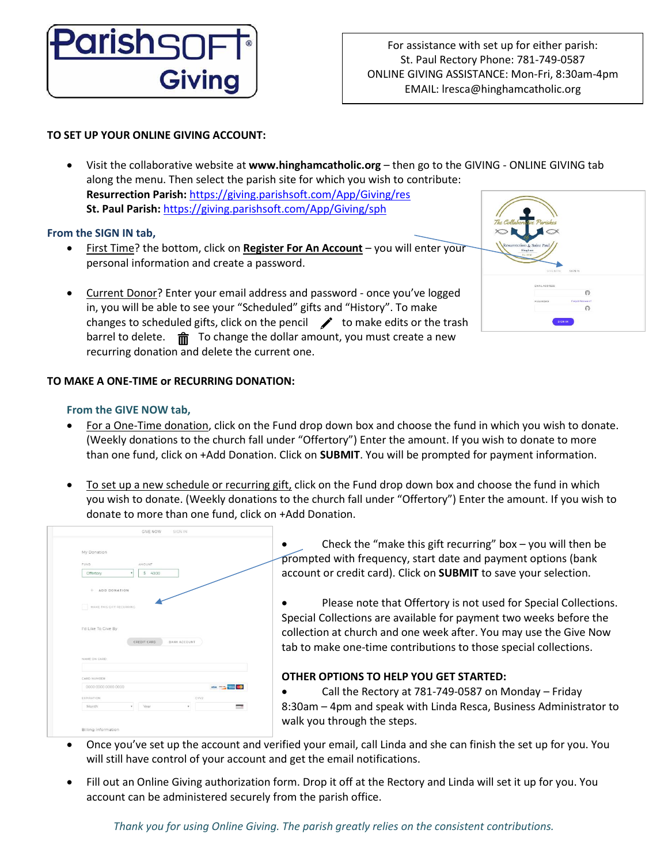

# **TO SET UP YOUR ONLINE GIVING ACCOUNT:**

• Visit the collaborative website at **www.hinghamcatholic.org** – then go to the GIVING - ONLINE GIVING tab along the menu. Then select the parish site for which you wish to contribute: **Resurrection Parish:** https://giving.parishsoft.com/App/Giving/res **St. Paul Parish:** https://giving.parishsoft.com/App/Giving/sph

# **From the SIGN IN tab,**

- First Time? the bottom, click on **Register For An Account** you will enter your personal information and create a password.
- Current Donor? Enter your email address and password once you've logged in, you will be able to see your "Scheduled" gifts and "History". To make changes to scheduled gifts, click on the pencil  $\rightarrow$  to make edits or the trash barrel to delete.  $\vec{m}$  To change the dollar amount, you must create a new recurring donation and delete the current one.

# **TO MAKE A ONE-TIME or RECURRING DONATION:**

## **From the GIVE NOW tab,**

- For a One-Time donation, click on the Fund drop down box and choose the fund in which you wish to donate. (Weekly donations to the church fall under "Offertory") Enter the amount. If you wish to donate to more than one fund, click on +Add Donation. Click on **SUBMIT**. You will be prompted for payment information.
- To set up a new schedule or recurring gift, click on the Fund drop down box and choose the fund in which you wish to donate. (Weekly donations to the church fall under "Offertory") Enter the amount. If you wish to donate to more than one fund, click on +Add Donation.

| My Donation                        |                             |                    |
|------------------------------------|-----------------------------|--------------------|
| FUND.                              | AMOUNT                      |                    |
| Offertory                          | \$ 40.00<br>٠               |                    |
| + ADD DONATION                     |                             |                    |
| MAKE THIS GIFT RECURRING           |                             |                    |
|                                    |                             |                    |
| I'd Like To Give By                |                             |                    |
|                                    | CREDIT CARD<br>BANK ACCOUNT |                    |
| NAME ON CARD                       |                             |                    |
|                                    |                             |                    |
| CARD NUMBER<br>0000 0000 0000 0000 |                             | VISA HOME WITH THE |
| EXPIRATION                         |                             | CVV2               |

Check the "make this gift recurring" box  $-$  you will then be prompted with frequency, start date and payment options (bank account or credit card). Click on **SUBMIT** to save your selection.

Please note that Offertory is not used for Special Collections. Special Collections are available for payment two weeks before the collection at church and one week after. You may use the Give Now tab to make one-time contributions to those special collections.

# **OTHER OPTIONS TO HELP YOU GET STARTED:**

• Call the Rectory at 781-749-0587 on Monday – Friday 8:30am – 4pm and speak with Linda Resca, Business Administrator to walk you through the steps.

- Once you've set up the account and verified your email, call Linda and she can finish the set up for you. You will still have control of your account and get the email notifications.
- Fill out an Online Giving authorization form. Drop it off at the Rectory and Linda will set it up for you. You account can be administered securely from the parish office.

*Thank you for using Online Giving. The parish greatly relies on the consistent contributions.*